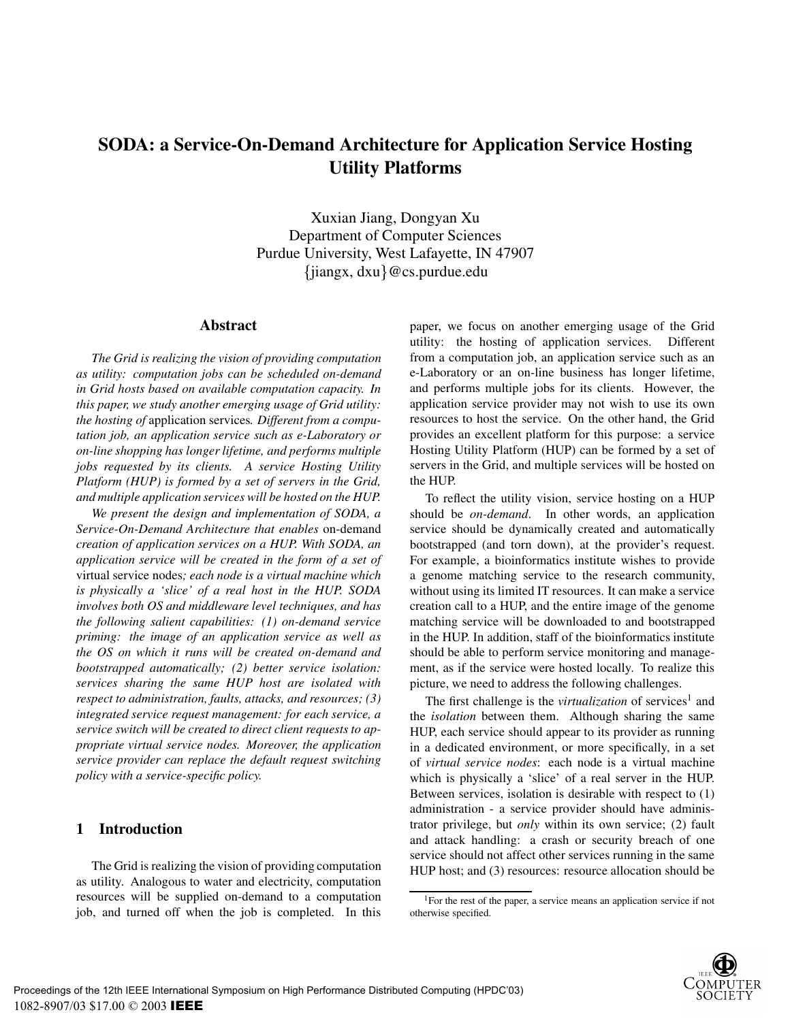# **SODA: a Service-On-Demand Architecture for Application Service Hosting Utility Platforms**

Xuxian Jiang, Dongyan Xu Department of Computer Sciences Purdue University, West Lafayette, IN 47907  $\{ijangx, dxu\}$ @cs.purdue.edu

#### **Abstract**

*The Grid is realizing the vision of providing computation as utility: computation jobs can be scheduled on-demand in Grid hosts based on available computation capacity. In this paper, we study another emerging usage of Grid utility: the hosting of* application services*. Different from a computation job, an application service such as e-Laboratory or on-line shopping has longer lifetime, and performs multiple jobs requested by its clients. A service Hosting Utility Platform (HUP) is formed by a set of servers in the Grid, and multiple application services will be hosted on the HUP.*

*We present the design and implementation of SODA, a Service-On-Demand Architecture that enables* on-demand *creation of application services on a HUP. With SODA, an application service will be created in the form of a set of* virtual service nodes*; each node is a virtual machine which is physically a 'slice' of a real host in the HUP. SODA involves both OS and middleware level techniques, and has the following salient capabilities: (1) on-demand service priming: the image of an application service as well as the OS on which it runs will be created on-demand and bootstrapped automatically; (2) better service isolation: services sharing the same HUP host are isolated with respect to administration, faults, attacks, and resources; (3) integrated service request management: for each service, a service switch will be created to direct client requests to appropriate virtual service nodes. Moreover, the application service provider can replace the default request switching policy with a service-specific policy.*

# **1 Introduction**

The Grid is realizing the vision of providing computation as utility. Analogous to water and electricity, computation resources will be supplied on-demand to a computation job, and turned off when the job is completed. In this paper, we focus on another emerging usage of the Grid utility: the hosting of application services. Different from a computation job, an application service such as an e-Laboratory or an on-line business has longer lifetime, and performs multiple jobs for its clients. However, the application service provider may not wish to use its own resources to host the service. On the other hand, the Grid provides an excellent platform for this purpose: a service Hosting Utility Platform (HUP) can be formed by a set of servers in the Grid, and multiple services will be hosted on the HUP.

To reflect the utility vision, service hosting on a HUP should be *on-demand*. In other words, an application service should be dynamically created and automatically bootstrapped (and torn down), at the provider's request. For example, a bioinformatics institute wishes to provide a genome matching service to the research community, without using its limited IT resources. It can make a service creation call to a HUP, and the entire image of the genome matching service will be downloaded to and bootstrapped in the HUP. In addition, staff of the bioinformatics institute should be able to perform service monitoring and management, as if the service were hosted locally. To realize this picture, we need to address the following challenges.

The first challenge is the *virtualization* of services<sup>1</sup> and the *isolation* between them. Although sharing the same HUP, each service should appear to its provider as running in a dedicated environment, or more specifically, in a set of *virtual service nodes*: each node is a virtual machine which is physically a 'slice' of a real server in the HUP. Between services, isolation is desirable with respect to (1) administration - a service provider should have administrator privilege, but *only* within its own service; (2) fault and attack handling: a crash or security breach of one service should not affect other services running in the same HUP host; and (3) resources: resource allocation should be

<sup>1</sup>For the rest of the paper, a service means an application service if not otherwise specified.

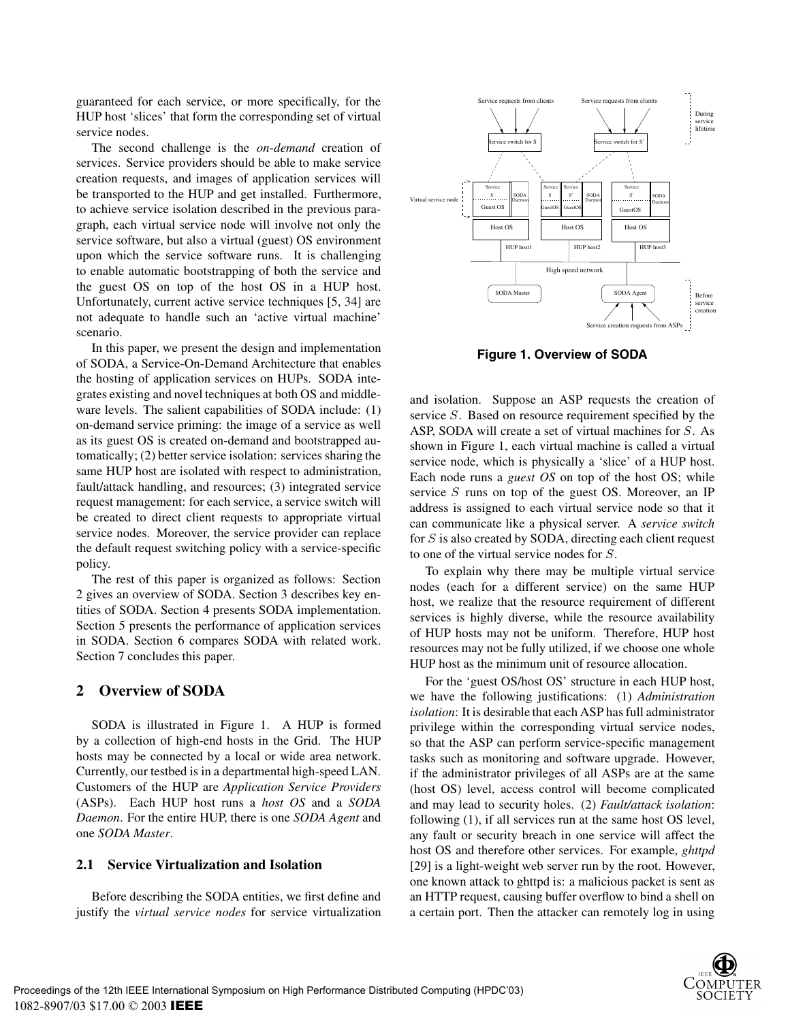guaranteed for each service, or more specifically, for the HUP host 'slices' that form the corresponding set of virtual service nodes.

The second challenge is the *on-demand* creation of services. Service providers should be able to make service creation requests, and images of application services will be transported to the HUP and get installed. Furthermore, to achieve service isolation described in the previous paragraph, each virtual service node will involve not only the service software, but also a virtual (guest) OS environment upon which the service software runs. It is challenging to enable automatic bootstrapping of both the service and the guest OS on top of the host OS in a HUP host. Unfortunately, current active service techniques [5, 34] are not adequate to handle such an 'active virtual machine' scenario.

In this paper, we present the design and implementation of SODA, a Service-On-Demand Architecture that enables the hosting of application services on HUPs. SODA integrates existing and novel techniques at both OS and middleware levels. The salient capabilities of SODA include: (1) on-demand service priming: the image of a service as well as its guest OS is created on-demand and bootstrapped automatically; (2) better service isolation: services sharing the same HUP host are isolated with respect to administration, fault/attack handling, and resources; (3) integrated service request management: for each service, a service switch will be created to direct client requests to appropriate virtual service nodes. Moreover, the service provider can replace the default request switching policy with a service-specific policy.

The rest of this paper is organized as follows: Section 2 gives an overview of SODA. Section 3 describes key entities of SODA. Section 4 presents SODA implementation. Section 5 presents the performance of application services in SODA. Section 6 compares SODA with related work. Section 7 concludes this paper.

## **2 Overview of SODA**

SODA is illustrated in Figure 1. A HUP is formed by a collection of high-end hosts in the Grid. The HUP hosts may be connected by a local or wide area network. Currently, our testbed is in a departmental high-speed LAN. Customers of the HUP are *Application Service Providers* (ASPs). Each HUP host runs a *host OS* and a *SODA Daemon*. For the entire HUP, there is one *SODA Agent* and one *SODA Master*.

#### **2.1 Service Virtualization and Isolation**

Before describing the SODA entities, we first define and justify the *virtual service nodes* for service virtualization



**Figure 1. Overview of SODA**

and isolation. Suppose an ASP requests the creation of service  $S$ . Based on resource requirement specified by the ASP, SODA will create a set of virtual machines for  $S$ . As shown in Figure 1, each virtual machine is called a virtual service node, which is physically a 'slice' of a HUP host. Each node runs a *guest OS* on top of the host OS; while service  $S$  runs on top of the guest OS. Moreover, an IP address is assigned to each virtual service node so that it can communicate like a physical server. A *service switch* for  $S$  is also created by SODA, directing each client request to one of the virtual service nodes for  $S$ .

To explain why there may be multiple virtual service nodes (each for a different service) on the same HUP host, we realize that the resource requirement of different services is highly diverse, while the resource availability of HUP hosts may not be uniform. Therefore, HUP host resources may not be fully utilized, if we choose one whole HUP host as the minimum unit of resource allocation.

For the 'guest OS/host OS' structure in each HUP host, we have the following justifications: (1) *Administration isolation*: It is desirable that each ASP has full administrator privilege within the corresponding virtual service nodes, so that the ASP can perform service-specific management tasks such as monitoring and software upgrade. However, if the administrator privileges of all ASPs are at the same (host OS) level, access control will become complicated and may lead to security holes. (2) *Fault/attack isolation*: following (1), if all services run at the same host OS level, any fault or security breach in one service will affect the host OS and therefore other services. For example, *ghttpd* [29] is a light-weight web server run by the root. However, one known attack to ghttpd is: a malicious packet is sent as an HTTP request, causing buffer overflow to bind a shell on a certain port. Then the attacker can remotely log in using

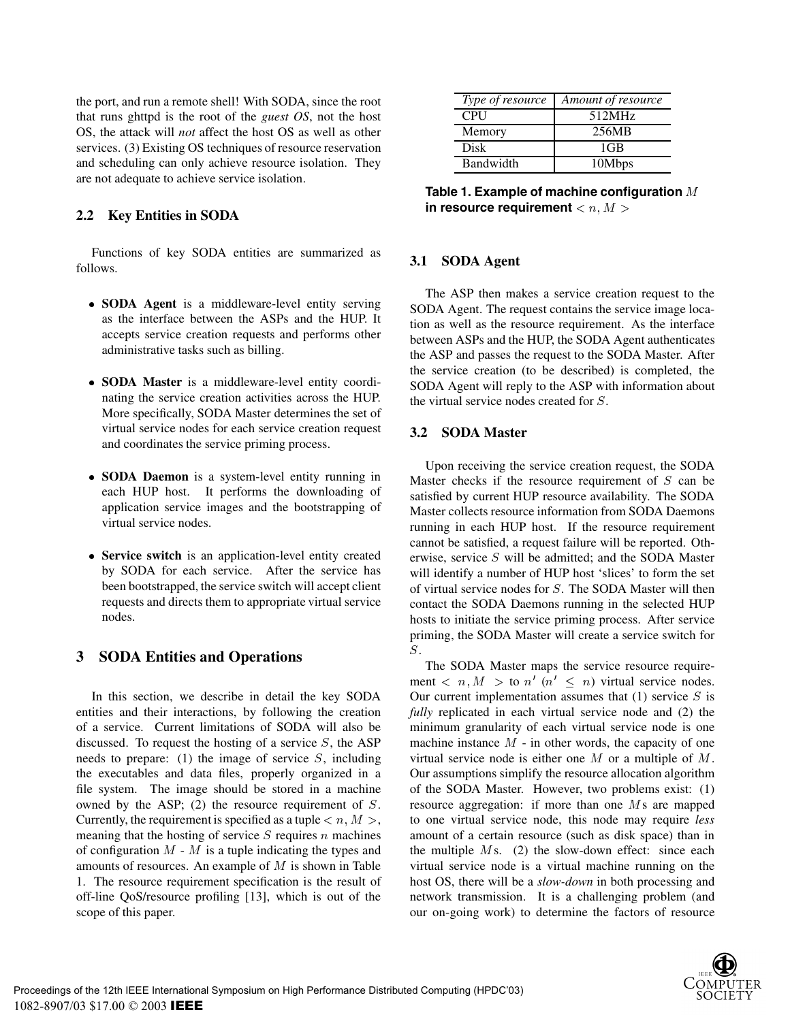the port, and run a remote shell! With SODA, since the root that runs ghttpd is the root of the *guest OS*, not the host OS, the attack will *not* affect the host OS as well as other services. (3) Existing OS techniques of resource reservation and scheduling can only achieve resource isolation. They are not adequate to achieve service isolation.

# **2.2 Key Entities in SODA**

Functions of key SODA entities are summarized as follows.

- **SODA Agent** is a middleware-level entity serving as the interface between the ASPs and the HUP. It accepts service creation requests and performs other administrative tasks such as billing.
- **SODA Master** is a middleware-level entity coordinating the service creation activities across the HUP. More specifically, SODA Master determines the set of virtual service nodes for each service creation request and coordinates the service priming process.
- **SODA Daemon** is a system-level entity running in each HUP host. It performs the downloading of application service images and the bootstrapping of virtual service nodes.
- **Service switch** is an application-level entity created by SODA for each service. After the service has been bootstrapped, the service switch will accept client requests and directs them to appropriate virtual service nodes.

# **3 SODA Entities and Operations**

In this section, we describe in detail the key SODA entities and their interactions, by following the creation of a service. Current limitations of SODA will also be discussed. To request the hosting of a service  $S$ , the ASP needs to prepare: (1) the image of service  $S$ , including the executables and data files, properly organized in a file system. The image should be stored in a machine owned by the ASP; (2) the resource requirement of  $S$ . Currently, the requirement is specified as a tuple  $\langle n, M \rangle$ , meaning that the hosting of service  $S$  requires  $n$  machines of configuration  $M - M$  is a tuple indicating the types and amounts of resources. An example of  $M$  is shown in Table 1. The resource requirement specification is the result of off-line QoS/resource profiling [13], which is out of the scope of this paper.

| Type of resource | Amount of resource |
|------------------|--------------------|
| <b>CPU</b>       | 512MHz             |
| Memory           | 256MB              |
| Disk             | 1GB                |
| Bandwidth        | 10Mbps             |

**Table 1. Example of machine configuration** in resource requirement  $< n,M>$ 

#### **3.1 SODA Agent**

The ASP then makes a service creation request to the SODA Agent. The request contains the service image location as well as the resource requirement. As the interface between ASPs and the HUP, the SODA Agent authenticates the ASP and passes the request to the SODA Master. After the service creation (to be described) is completed, the SODA Agent will reply to the ASP with information about the virtual service nodes created for  $S$ .

#### **3.2 SODA Master**

Upon receiving the service creation request, the SODA Master checks if the resource requirement of  $S$  can be satisfied by current HUP resource availability. The SODA Master collects resource information from SODA Daemons running in each HUP host. If the resource requirement cannot be satisfied, a request failure will be reported. Otherwise, service  $S$  will be admitted; and the SODA Master will identify a number of HUP host 'slices' to form the set of virtual service nodes for  $S$ . The SODA Master will then contact the SODA Daemons running in the selected HUP hosts to initiate the service priming process. After service priming, the SODA Master will create a service switch for  $S$ .

 , to one virtual service node, this node may require *less* The SODA Master maps the service resource requirement  $\langle n, M \rangle$  to  $n'$   $(n' \leq n)$  virtual service nodes. Our current implementation assumes that  $(1)$  service S is *fully* replicated in each virtual service node and (2) the minimum granularity of each virtual service node is one machine instance  $M$  - in other words, the capacity of one virtual service node is either one  $M$  or a multiple of  $M$ . Our assumptions simplify the resource allocation algorithm of the SODA Master. However, two problems exist: (1) resource aggregation: if more than one  $\overline{M}$  s are mapped amount of a certain resource (such as disk space) than in the multiple  $M$ s. (2) the slow-down effect: since each virtual service node is a virtual machine running on the host OS, there will be a *slow-down* in both processing and network transmission. It is a challenging problem (and our on-going work) to determine the factors of resource

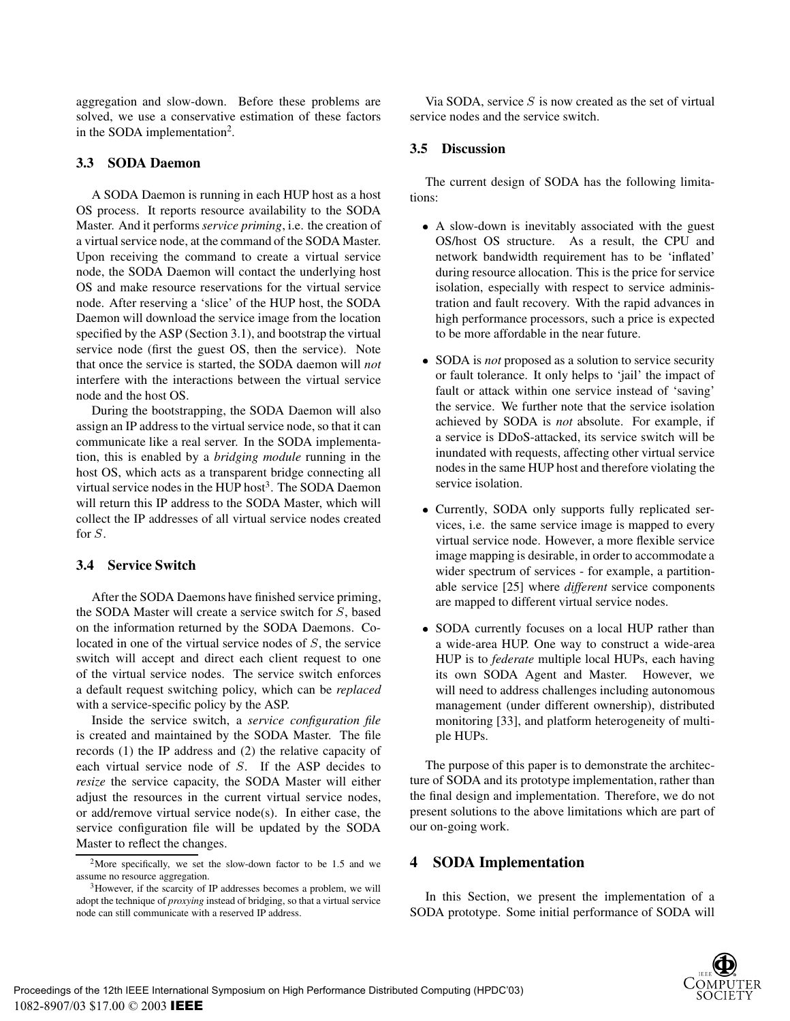aggregation and slow-down. Before these problems are solved, we use a conservative estimation of these factors in the SODA implementation<sup>2</sup>.

## **3.3 SODA Daemon**

A SODA Daemon is running in each HUP host as a host OS process. It reports resource availability to the SODA Master. And it performs*service priming*, i.e. the creation of a virtual service node, at the command of the SODA Master. Upon receiving the command to create a virtual service node, the SODA Daemon will contact the underlying host OS and make resource reservations for the virtual service node. After reserving a 'slice' of the HUP host, the SODA Daemon will download the service image from the location specified by the ASP (Section 3.1), and bootstrap the virtual service node (first the guest OS, then the service). Note that once the service is started, the SODA daemon will *not* interfere with the interactions between the virtual service node and the host OS.

During the bootstrapping, the SODA Daemon will also assign an IP address to the virtual service node, so that it can communicate like a real server. In the SODA implementation, this is enabled by a *bridging module* running in the host OS, which acts as a transparent bridge connecting all virtual service nodes in the HUP host<sup>3</sup>. The SODA Daemon will return this IP address to the SODA Master, which will collect the IP addresses of all virtual service nodes created for  $S$ .

#### **3.4 Service Switch**

After the SODA Daemons have finished service priming, the SODA Master will create a service switch for  $S$ , based on the information returned by the SODA Daemons. Colocated in one of the virtual service nodes of  $S$ , the service switch will accept and direct each client request to one of the virtual service nodes. The service switch enforces a default request switching policy, which can be *replaced* with a service-specific policy by the ASP.

Inside the service switch, a *service configuration file* is created and maintained by the SODA Master. The file records (1) the IP address and (2) the relative capacity of each virtual service node of  $S$ . If the ASP decides to *resize* the service capacity, the SODA Master will either adjust the resources in the current virtual service nodes, or add/remove virtual service node(s). In either case, the service configuration file will be updated by the SODA Master to reflect the changes.

Via SODA, service  $S$  is now created as the set of virtual service nodes and the service switch.

#### **3.5 Discussion**

The current design of SODA has the following limitations:

- A slow-down is inevitably associated with the guest OS/host OS structure. As a result, the CPU and network bandwidth requirement has to be 'inflated' during resource allocation. This is the price for service isolation, especially with respect to service administration and fault recovery. With the rapid advances in high performance processors, such a price is expected to be more affordable in the near future.
- SODA is*not* proposed as a solution to service security or fault tolerance. It only helps to 'jail' the impact of fault or attack within one service instead of 'saving' the service. We further note that the service isolation achieved by SODA is *not* absolute. For example, if a service is DDoS-attacked, its service switch will be inundated with requests, affecting other virtual service nodes in the same HUP host and therefore violating the service isolation.
- Currently, SODA only supports fully replicated services, i.e. the same service image is mapped to every virtual service node. However, a more flexible service image mapping is desirable, in order to accommodate a wider spectrum of services - for example, a partitionable service [25] where *different* service components are mapped to different virtual service nodes.
- SODA currently focuses on a local HUP rather than a wide-area HUP. One way to construct a wide-area HUP is to *federate* multiple local HUPs, each having its own SODA Agent and Master. However, we will need to address challenges including autonomous management (under different ownership), distributed monitoring [33], and platform heterogeneity of multiple HUPs.

The purpose of this paper is to demonstrate the architecture of SODA and its prototype implementation, rather than the final design and implementation. Therefore, we do not present solutions to the above limitations which are part of our on-going work.

#### **4 SODA Implementation**

In this Section, we present the implementation of a SODA prototype. Some initial performance of SODA will



 $2$ More specifically, we set the slow-down factor to be 1.5 and we assume no resource aggregation.

<sup>3</sup>However, if the scarcity of IP addresses becomes a problem, we will adopt the technique of *proxying* instead of bridging, so that a virtual service node can still communicate with a reserved IP address.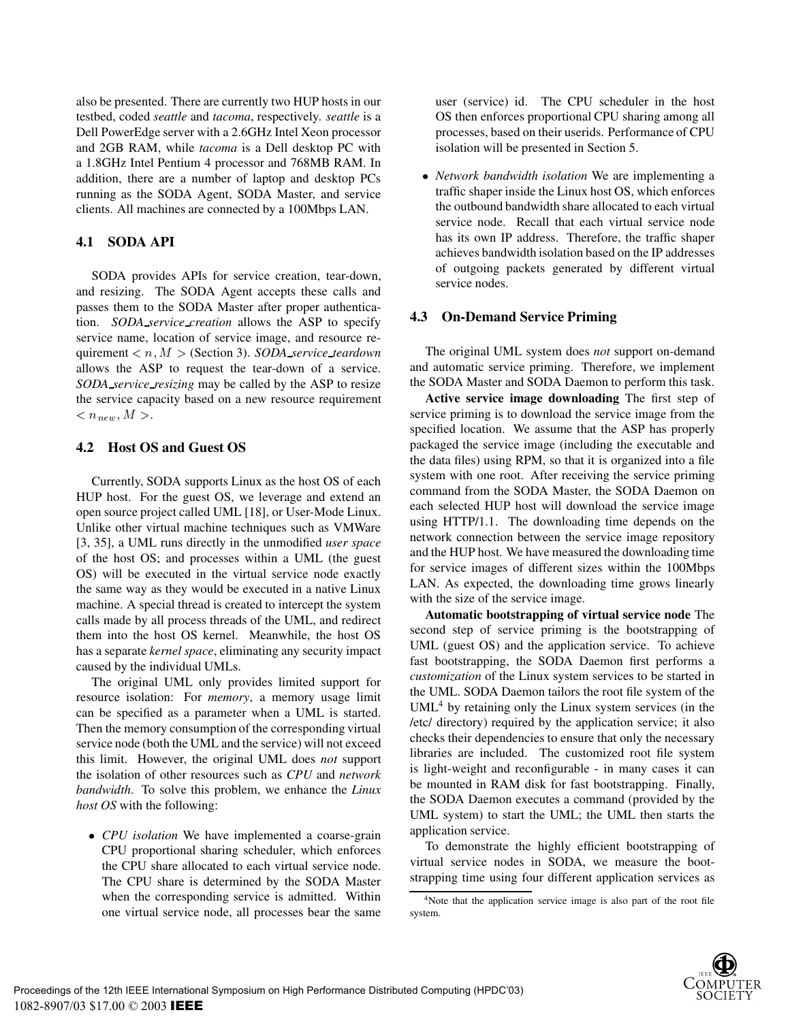also be presented. There are currently two HUP hosts in our testbed, coded *seattle* and *tacoma*, respectively. *seattle* is a Dell PowerEdge server with a 2.6GHz Intel Xeon processor and 2GB RAM, while *tacoma* is a Dell desktop PC with a 1.8GHz Intel Pentium 4 processor and 768MB RAM. In addition, there are a number of laptop and desktop PCs running as the SODA Agent, SODA Master, and service clients. All machines are connected by a 100Mbps LAN.

## **4.1 SODA API**

SODA provides APIs for service creation, tear-down, and resizing. The SODA Agent accepts these calls and passes them to the SODA Master after proper authentication. *SODA service creation* allows the ASP to specify service name, location of service image, and resource requirement  $\langle n, M \rangle$  (Section 3). *SODA\_service\_teardown* allows the ASP to request the tear-down of a service. *SODA service resizing* may be called by the ASP to resize the service capacity based on a new resource requirement  $< n_{new}, M>$ .

# **4.2 Host OS and Guest OS**

Currently, SODA supports Linux as the host OS of each HUP host. For the guest OS, we leverage and extend an open source project called UML [18], or User-Mode Linux. Unlike other virtual machine techniques such as VMWare [3, 35], a UML runs directly in the unmodified *user space* of the host OS; and processes within a UML (the guest OS) will be executed in the virtual service node exactly the same way as they would be executed in a native Linux machine. A special thread is created to intercept the system calls made by all process threads of the UML, and redirect them into the host OS kernel. Meanwhile, the host OS has a separate *kernel space*, eliminating any security impact caused by the individual UMLs.

The original UML only provides limited support for resource isolation: For *memory*, a memory usage limit can be specified as a parameter when a UML is started. Then the memory consumption of the corresponding virtual service node (both the UML and the service) will not exceed this limit. However, the original UML does *not* support the isolation of other resources such as *CPU* and *network bandwidth*. To solve this problem, we enhance the *Linux host OS* with the following:

 *CPU isolation* We have implemented a coarse-grain CPU proportional sharing scheduler, which enforces the CPU share allocated to each virtual service node. The CPU share is determined by the SODA Master when the corresponding service is admitted. Within one virtual service node, all processes bear the same user (service) id. The CPU scheduler in the host OS then enforces proportional CPU sharing among all processes, based on their userids. Performance of CPU isolation will be presented in Section 5.

 *Network bandwidth isolation* We are implementing a traffic shaper inside the Linux host OS, which enforces the outbound bandwidth share allocated to each virtual service node. Recall that each virtual service node has its own IP address. Therefore, the traffic shaper achieves bandwidth isolation based on the IP addresses of outgoing packets generated by different virtual service nodes.

#### **4.3 On-Demand Service Priming**

The original UML system does *not* support on-demand and automatic service priming. Therefore, we implement the SODA Master and SODA Daemon to perform this task.

**Active service image downloading** The first step of service priming is to download the service image from the specified location. We assume that the ASP has properly packaged the service image (including the executable and the data files) using RPM, so that it is organized into a file system with one root. After receiving the service priming command from the SODA Master, the SODA Daemon on each selected HUP host will download the service image using HTTP/1.1. The downloading time depends on the network connection between the service image repository and the HUP host. We have measured the downloading time for service images of different sizes within the 100Mbps LAN. As expected, the downloading time grows linearly with the size of the service image.

**Automatic bootstrapping of virtual service node** The second step of service priming is the bootstrapping of UML (guest OS) and the application service. To achieve fast bootstrapping, the SODA Daemon first performs a *customization* of the Linux system services to be started in the UML. SODA Daemon tailors the root file system of the  $UML<sup>4</sup>$  by retaining only the Linux system services (in the /etc/ directory) required by the application service; it also checks their dependencies to ensure that only the necessary libraries are included. The customized root file system is light-weight and reconfigurable - in many cases it can be mounted in RAM disk for fast bootstrapping. Finally, the SODA Daemon executes a command (provided by the UML system) to start the UML; the UML then starts the application service.

To demonstrate the highly efficient bootstrapping of virtual service nodes in SODA, we measure the bootstrapping time using four different application services as

<sup>4</sup>Note that the application service image is also part of the root file system.

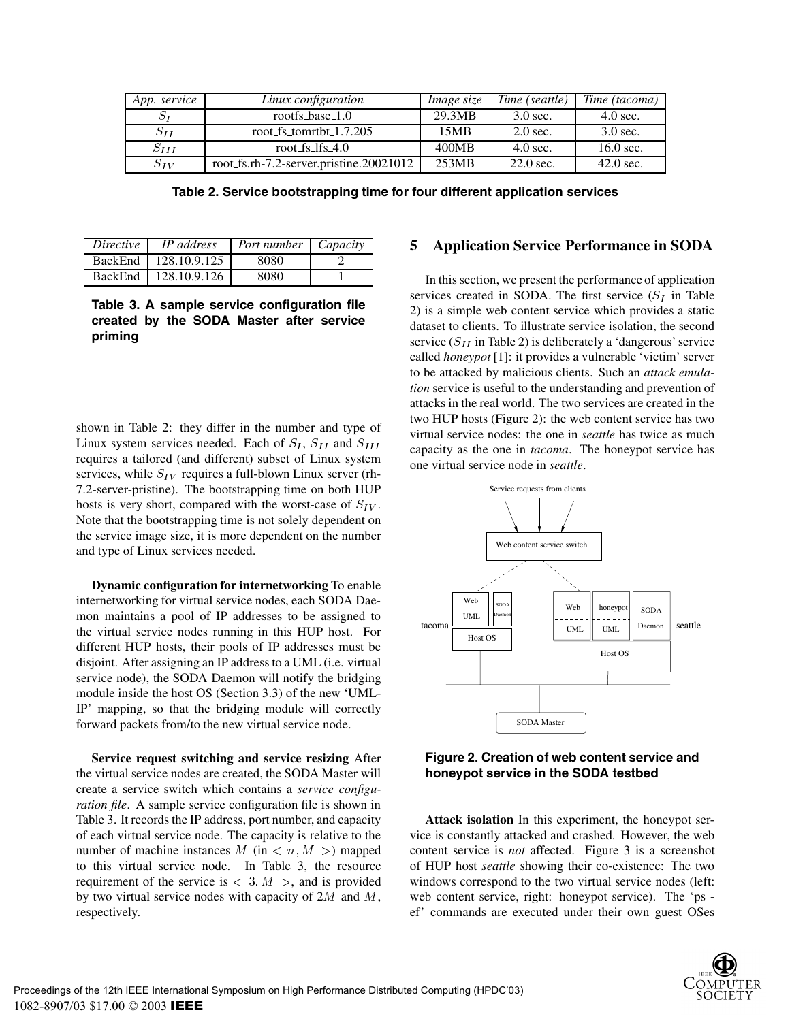| App. service | Linux configuration                     | <i>Image size</i> | Time (seattle) | Time (tacoma) |
|--------------|-----------------------------------------|-------------------|----------------|---------------|
|              | rootfs_base_1.0                         | 29.3MB            | $3.0$ sec.     | $4.0$ sec.    |
| $S_{II}$     | root_fs_tomrtbt_1.7.205                 | 15MB              | $2.0$ sec.     | $3.0$ sec.    |
| $S_{III}$    | root_fs_lfs_4.0                         | 400MB             | $4.0$ sec.     | $16.0$ sec.   |
| $S_{IV}$     | root_fs.rh-7.2-server.pristine.20021012 | 253MB             | $22.0$ sec.    | $42.0$ sec.   |

**Table 2. Service bootstrapping time for four different application services**

| Directive | IP address           | <b>Port number</b> Capacity |  |
|-----------|----------------------|-----------------------------|--|
|           | BackEnd 128.10.9.125 | 8080                        |  |
|           | BackEnd 128.10.9.126 | 8080                        |  |

**Table 3. A sample service configuration file created by the SODA Master after service priming**

shown in Table 2: they differ in the number and type of Linux system services needed. Each of  $S_I$ ,  $S_{II}$  and  $S_{III}$ requires a tailored (and different) subset of Linux system services, while  $S_{IV}$  requires a full-blown Linux server (rh-7.2-server-pristine). The bootstrapping time on both HUP hosts is very short, compared with the worst-case of  $S_{IV}$ . Note that the bootstrapping time is not solely dependent on the service image size, it is more dependent on the number and type of Linux services needed.

**Dynamic configuration for internetworking** To enable internetworking for virtual service nodes, each SODA Daemon maintains a pool of IP addresses to be assigned to the virtual service nodes running in this HUP host. For different HUP hosts, their pools of IP addresses must be disjoint. After assigning an IP address to a UML (i.e. virtual service node), the SODA Daemon will notify the bridging module inside the host OS (Section 3.3) of the new 'UML-IP' mapping, so that the bridging module will correctly forward packets from/to the new virtual service node.

**Service request switching and service resizing** After the virtual service nodes are created, the SODA Master will create a service switch which contains a *service configuration file*. A sample service configuration file is shown in Table 3. It records the IP address, port number, and capacity of each virtual service node. The capacity is relative to the number of machine instances  $M$  (in  $\langle n, M \rangle$ ) mapped to this virtual service node. In Table 3, the resource requirement of the service is  $< 3, M >$ , and is provided by two virtual service nodes with capacity of  $2M$  and  $M$ , respectively.

# **5 Application Service Performance in SODA**

In this section, we present the performance of application services created in SODA. The first service  $(S_I)$  in Table 2) is a simple web content service which provides a static dataset to clients. To illustrate service isolation, the second service  $(S_{II})$  in Table 2) is deliberately a 'dangerous' service called *honeypot* [1]: it provides a vulnerable 'victim' server to be attacked by malicious clients. Such an *attack emulation* service is useful to the understanding and prevention of attacks in the real world. The two services are created in the two HUP hosts (Figure 2): the web content service has two virtual service nodes: the one in *seattle* has twice as much capacity as the one in *tacoma*. The honeypot service has one virtual service node in *seattle*.



**Figure 2. Creation of web content service and honeypot service in the SODA testbed**

**Attack isolation** In this experiment, the honeypot service is constantly attacked and crashed. However, the web content service is *not* affected. Figure 3 is a screenshot of HUP host *seattle* showing their co-existence: The two windows correspond to the two virtual service nodes (left: web content service, right: honeypot service). The 'ps ef' commands are executed under their own guest OSes

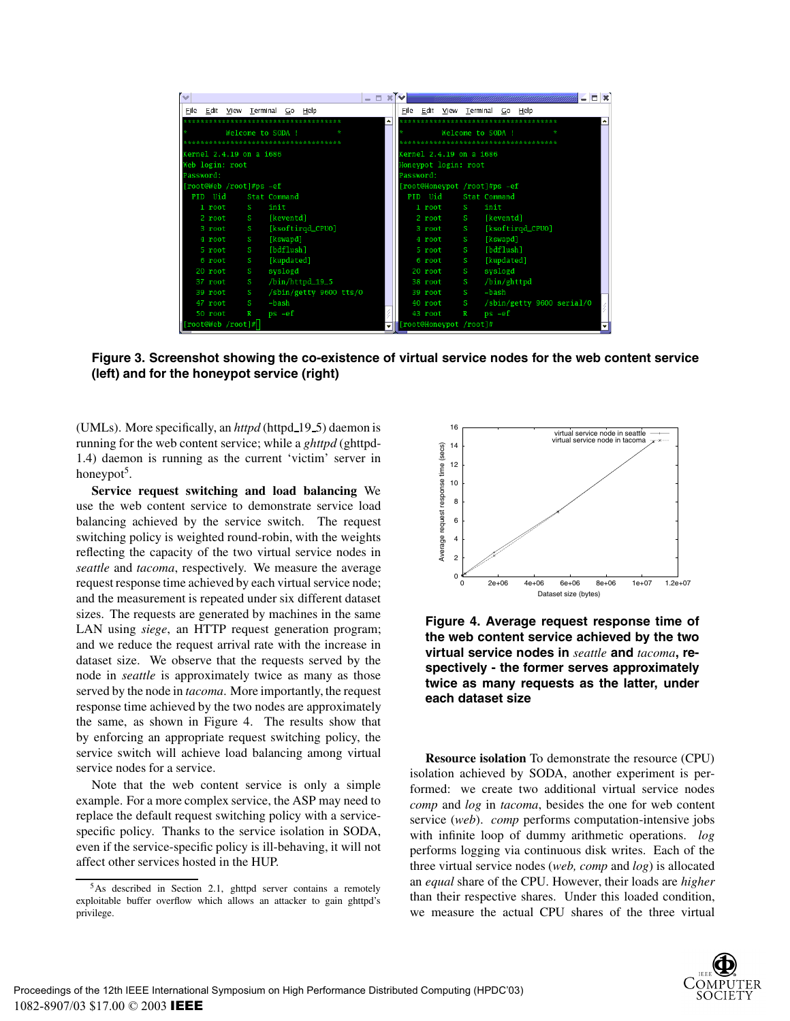| $\sim$                                 | $\Box$ $x$<br>$\overline{\phantom{0}}$     |    |
|----------------------------------------|--------------------------------------------|----|
| File Edit View Terminal Go Help        | File Edit View Terminal<br>Go<br>Help      |    |
| ************************************   | ∙<br>***********************               | ≛∥ |
| Welcome to SODA !                      | Welcome to SODA !                          |    |
| *****************************          | ********************************           |    |
| Kernel 2.4.19 on a 1686                | Kernel 2.4.19 on a i686                    |    |
| Web login: root                        | Honeypot login: root                       |    |
| Password:                              | Password:                                  |    |
| [root@Web /root]#ps -ef                | [root@Honeypot /root]#ps -ef               |    |
| PID Uid<br>Stat Command                | PID Uid<br>Stat Command                    |    |
| init<br>S.<br>1 root                   | init<br>$1$ root<br>S.                     |    |
| [keventd]<br>'S<br>2 root              | [keventd]<br>'S<br>2 root                  |    |
| [ksoftirgd_CPUO]<br>3 root<br>'S       | [ksoftirgd_CPU0]<br>3 root<br>'S           |    |
| [kswapd]<br>'S<br>4 root               | [kswapd]<br>4 root<br>'S                   |    |
| [bdflush]<br>s<br>5 root               | [bdflush]<br>'S<br>5 root                  |    |
| [kupdated]<br>6 root<br>s              | [kupdated]<br>6 root<br>-S                 |    |
| 20 root<br>s<br>syslogd                | 'S<br>syslogd<br>20 root                   |    |
| /bin/httpd_19_5<br>s<br>37 root        | /bin/ghttpd<br>38 root<br>-S               |    |
| /sbin/getty 9600 tts/0<br>s<br>39 root | -bash<br>39 root<br>'S                     |    |
| $-bash$<br>s<br>47 root                | /sbin/getty 9600 serial/0<br>S.<br>40 root |    |
| R<br>$ps -ef$<br>50 root               | 43 root<br>R<br>$ps -ef$                   |    |
| [root@Web /root]#                      | [root@Honeypot /root]#<br>٠                |    |

**Figure 3. Screenshot showing the co-existence of virtual service nodes for the web content service (left) and for the honeypot service (right)**

(UMLs). More specifically, an *httpd* (httpd 19 5) daemon is running for the web content service; while a *ghttpd* (ghttpd-1.4) daemon is running as the current 'victim' server in honeypot<sup>5</sup>.

**Service request switching and load balancing** We use the web content service to demonstrate service load balancing achieved by the service switch. The request switching policy is weighted round-robin, with the weights reflecting the capacity of the two virtual service nodes in *seattle* and *tacoma*, respectively. We measure the average request response time achieved by each virtual service node; and the measurement is repeated under six different dataset sizes. The requests are generated by machines in the same LAN using *siege*, an HTTP request generation program; and we reduce the request arrival rate with the increase in dataset size. We observe that the requests served by the node in *seattle* is approximately twice as many as those served by the node in *tacoma*. More importantly, the request response time achieved by the two nodes are approximately the same, as shown in Figure 4. The results show that by enforcing an appropriate request switching policy, the service switch will achieve load balancing among virtual service nodes for a service.

Note that the web content service is only a simple example. For a more complex service, the ASP may need to replace the default request switching policy with a servicespecific policy. Thanks to the service isolation in SODA, even if the service-specific policy is ill-behaving, it will not affect other services hosted in the HUP.



**Figure 4. Average request response time of the web content service achieved by the two virtual service nodes in** *seattle* **and** *tacoma***, respectively - the former serves approximately twice as many requests as the latter, under each dataset size**

**Resource isolation** To demonstrate the resource (CPU) isolation achieved by SODA, another experiment is performed: we create two additional virtual service nodes *comp* and *log* in *tacoma*, besides the one for web content service (*web*). *comp* performs computation-intensive jobs with infinite loop of dummy arithmetic operations. *log* performs logging via continuous disk writes. Each of the three virtual service nodes (*web, comp* and *log*) is allocated an *equal* share of the CPU. However, their loads are *higher* than their respective shares. Under this loaded condition, we measure the actual CPU shares of the three virtual



<sup>5</sup>As described in Section 2.1, ghttpd server contains a remotely exploitable buffer overflow which allows an attacker to gain ghttpd's privilege.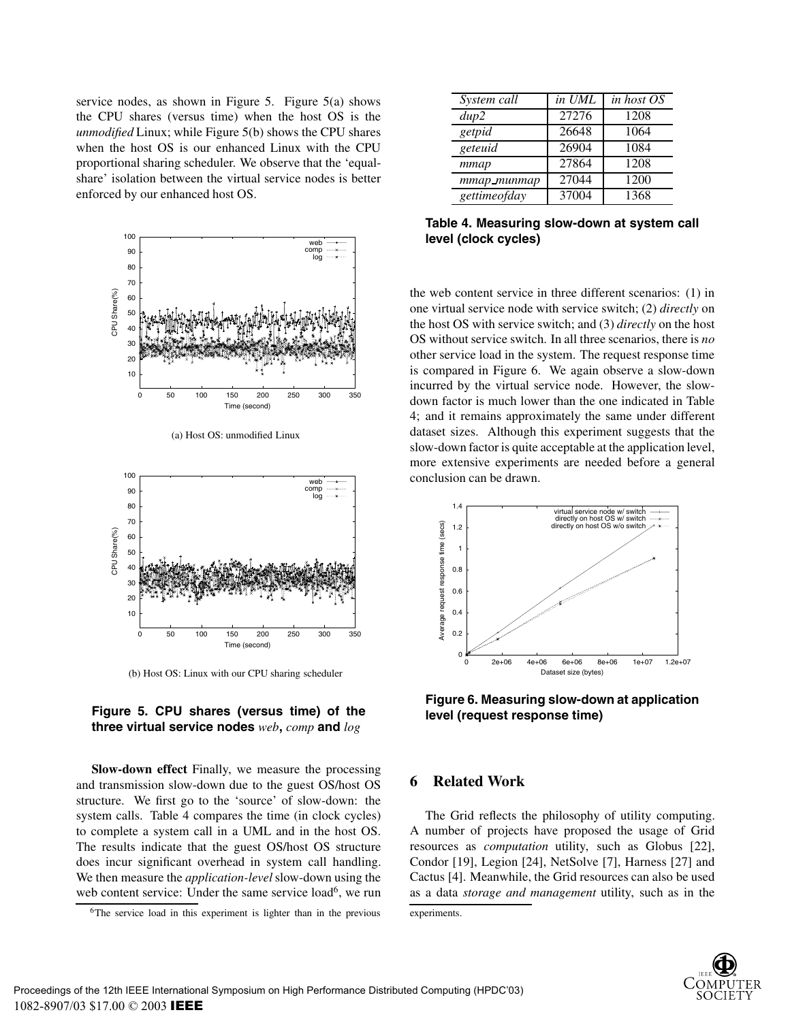service nodes, as shown in Figure 5. Figure 5(a) shows the CPU shares (versus time) when the host OS is the *unmodified* Linux; while Figure 5(b) shows the CPU shares when the host OS is our enhanced Linux with the CPU proportional sharing scheduler. We observe that the 'equalshare' isolation between the virtual service nodes is better enforced by our enhanced host OS.



(a) Host OS: unmodified Linux



(b) Host OS: Linux with our CPU sharing scheduler



**Slow-down effect** Finally, we measure the processing and transmission slow-down due to the guest OS/host OS structure. We first go to the 'source' of slow-down: the system calls. Table 4 compares the time (in clock cycles) to complete a system call in a UML and in the host OS. The results indicate that the guest OS/host OS structure does incur significant overhead in system call handling. We then measure the *application-level*slow-down using the web content service: Under the same service load<sup>6</sup>, we run

6The service load in this experiment is lighter than in the previous

| System call  | in UML | in host OS |
|--------------|--------|------------|
| dup2         | 27276  | 1208       |
| getpid       | 26648  | 1064       |
| geteuid      | 26904  | 1084       |
| mmap         | 27864  | 1208       |
| mmap munmap  | 27044  | 1200       |
| gettimeofday | 37004  | 1368       |

**Table 4. Measuring slow-down at system call level (clock cycles)**

the web content service in three different scenarios: (1) in one virtual service node with service switch; (2) *directly* on the host OS with service switch; and (3) *directly* on the host OS without service switch. In all three scenarios, there is *no* other service load in the system. The request response time is compared in Figure 6. We again observe a slow-down incurred by the virtual service node. However, the slowdown factor is much lower than the one indicated in Table 4; and it remains approximately the same under different dataset sizes. Although this experiment suggests that the slow-down factor is quite acceptable at the application level, more extensive experiments are needed before a general conclusion can be drawn.



**Figure 6. Measuring slow-down at application level (request response time)**

# **6 Related Work**

The Grid reflects the philosophy of utility computing. A number of projects have proposed the usage of Grid resources as *computation* utility, such as Globus [22], Condor [19], Legion [24], NetSolve [7], Harness [27] and Cactus [4]. Meanwhile, the Grid resources can also be used as a data *storage and management* utility, such as in the



experiments.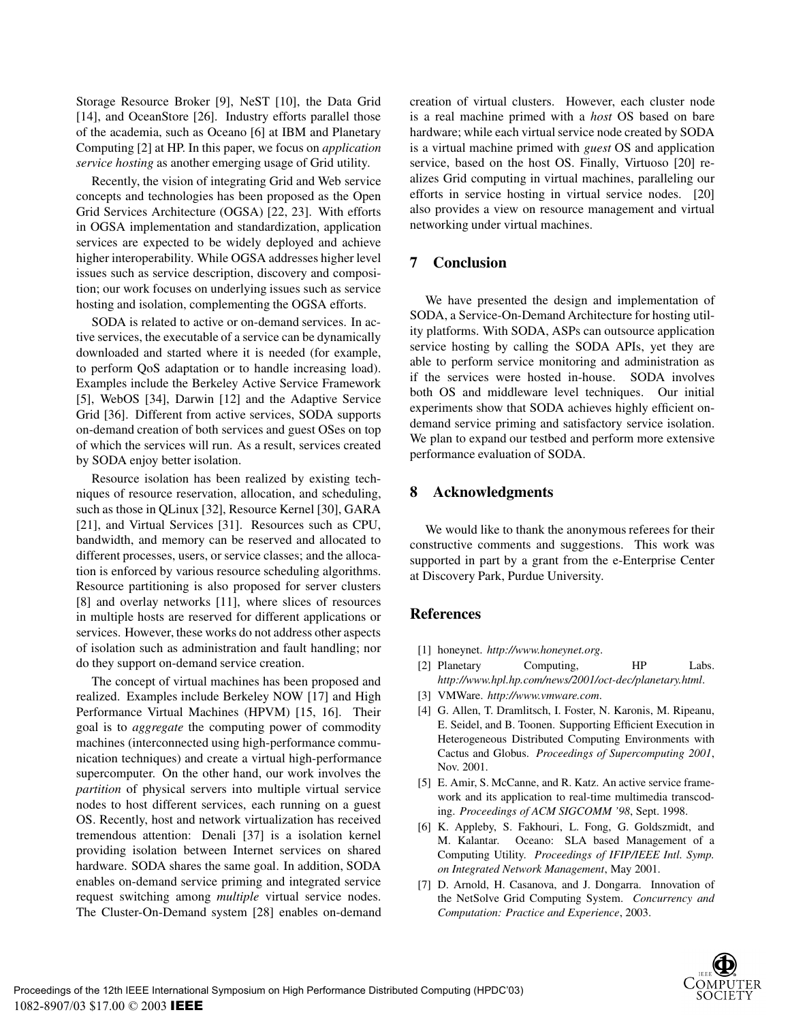Storage Resource Broker [9], NeST [10], the Data Grid [14], and OceanStore [26]. Industry efforts parallel those of the academia, such as Oceano [6] at IBM and Planetary Computing [2] at HP. In this paper, we focus on *application service hosting* as another emerging usage of Grid utility.

Recently, the vision of integrating Grid and Web service concepts and technologies has been proposed as the Open Grid Services Architecture (OGSA) [22, 23]. With efforts in OGSA implementation and standardization, application services are expected to be widely deployed and achieve higher interoperability. While OGSA addresses higher level issues such as service description, discovery and composition; our work focuses on underlying issues such as service hosting and isolation, complementing the OGSA efforts.

SODA is related to active or on-demand services. In active services, the executable of a service can be dynamically downloaded and started where it is needed (for example, to perform QoS adaptation or to handle increasing load). Examples include the Berkeley Active Service Framework [5], WebOS [34], Darwin [12] and the Adaptive Service Grid [36]. Different from active services, SODA supports on-demand creation of both services and guest OSes on top of which the services will run. As a result, services created by SODA enjoy better isolation.

Resource isolation has been realized by existing techniques of resource reservation, allocation, and scheduling, such as those in QLinux [32], Resource Kernel [30], GARA [21], and Virtual Services [31]. Resources such as CPU, bandwidth, and memory can be reserved and allocated to different processes, users, or service classes; and the allocation is enforced by various resource scheduling algorithms. Resource partitioning is also proposed for server clusters [8] and overlay networks [11], where slices of resources in multiple hosts are reserved for different applications or services. However, these works do not address other aspects of isolation such as administration and fault handling; nor do they support on-demand service creation.

The concept of virtual machines has been proposed and realized. Examples include Berkeley NOW [17] and High Performance Virtual Machines (HPVM) [15, 16]. Their goal is to *aggregate* the computing power of commodity machines (interconnected using high-performance communication techniques) and create a virtual high-performance supercomputer. On the other hand, our work involves the *partition* of physical servers into multiple virtual service nodes to host different services, each running on a guest OS. Recently, host and network virtualization has received tremendous attention: Denali [37] is a isolation kernel providing isolation between Internet services on shared hardware. SODA shares the same goal. In addition, SODA enables on-demand service priming and integrated service request switching among *multiple* virtual service nodes. The Cluster-On-Demand system [28] enables on-demand

creation of virtual clusters. However, each cluster node is a real machine primed with a *host* OS based on bare hardware; while each virtual service node created by SODA is a virtual machine primed with *guest* OS and application service, based on the host OS. Finally, Virtuoso [20] realizes Grid computing in virtual machines, paralleling our efforts in service hosting in virtual service nodes. [20] also provides a view on resource management and virtual networking under virtual machines.

# **7 Conclusion**

We have presented the design and implementation of SODA, a Service-On-Demand Architecture for hosting utility platforms. With SODA, ASPs can outsource application service hosting by calling the SODA APIs, yet they are able to perform service monitoring and administration as if the services were hosted in-house. SODA involves both OS and middleware level techniques. Our initial experiments show that SODA achieves highly efficient ondemand service priming and satisfactory service isolation. We plan to expand our testbed and perform more extensive performance evaluation of SODA.

#### **8 Acknowledgments**

We would like to thank the anonymous referees for their constructive comments and suggestions. This work was supported in part by a grant from the e-Enterprise Center at Discovery Park, Purdue University.

## **References**

- [1] honeynet. *http://www.honeynet.org*.
- [2] Planetary Computing, HP Labs. *http://www.hpl.hp.com/news/2001/oct-dec/planetary.html*.
- [3] VMWare. *http://www.vmware.com*.
- [4] G. Allen, T. Dramlitsch, I. Foster, N. Karonis, M. Ripeanu, E. Seidel, and B. Toonen. Supporting Efficient Execution in Heterogeneous Distributed Computing Environments with Cactus and Globus. *Proceedings of Supercomputing 2001*, Nov. 2001.
- [5] E. Amir, S. McCanne, and R. Katz. An active service framework and its application to real-time multimedia transcoding. *Proceedings of ACM SIGCOMM '98*, Sept. 1998.
- [6] K. Appleby, S. Fakhouri, L. Fong, G. Goldszmidt, and M. Kalantar. Oceano: SLA based Management of a Computing Utility. *Proceedings of IFIP/IEEE Intl. Symp. on Integrated Network Management*, May 2001.
- [7] D. Arnold, H. Casanova, and J. Dongarra. Innovation of the NetSolve Grid Computing System. *Concurrency and Computation: Practice and Experience*, 2003.